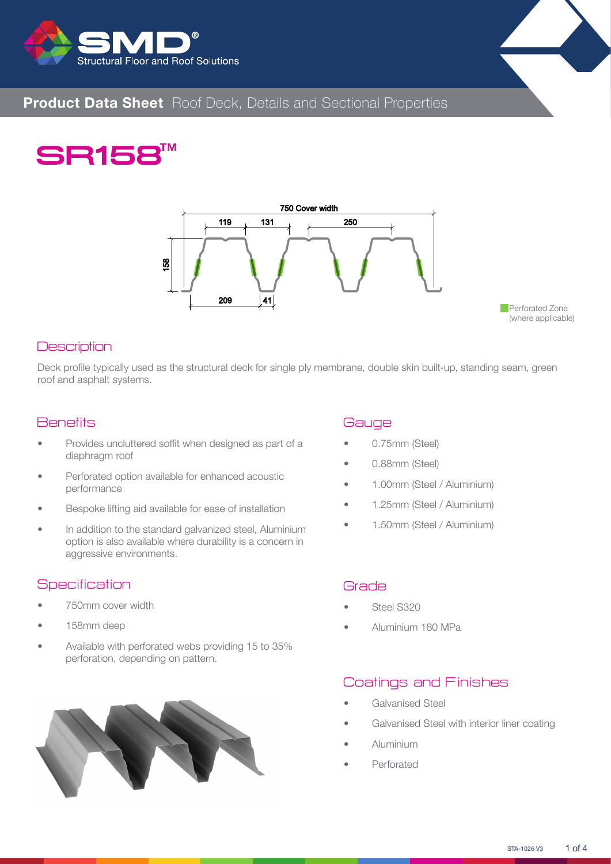



# **Product Data Sheet** Roof Deck, Details and Sectional Properties

# **SR158TM**



#### **Description**

Deck profile typically used as the structural deck for single ply membrane, double skin built-up, standing seam, green roof and asphalt systems.

#### **Benefits**

- Provides uncluttered soffit when designed as part of a diaphragm roof
- Perforated option available for enhanced acoustic performance
- Bespoke lifting aid available for ease of installation
- In addition to the standard galvanized steel, Aluminium option is also available where durability is a concern in aggressive environments.

#### **Specification**

- 750mm cover width
- 158mm deep
- Available with perforated webs providing 15 to 35% perforation, depending on pattern.



## **Gauge**

- 0.75mm (Steel)
- 0.88mm (Steel)
- 1.00mm (Steel / Aluminium)
- 1.25mm (Steel / Aluminium)
- 1.50mm (Steel / Aluminium)

#### Grade

- Steel S320
- Aluminium 180 MPa

## Coatings and Finishes

- Galvanised Steel
- Galvanised Steel with interior liner coating
- Aluminium
- Perforated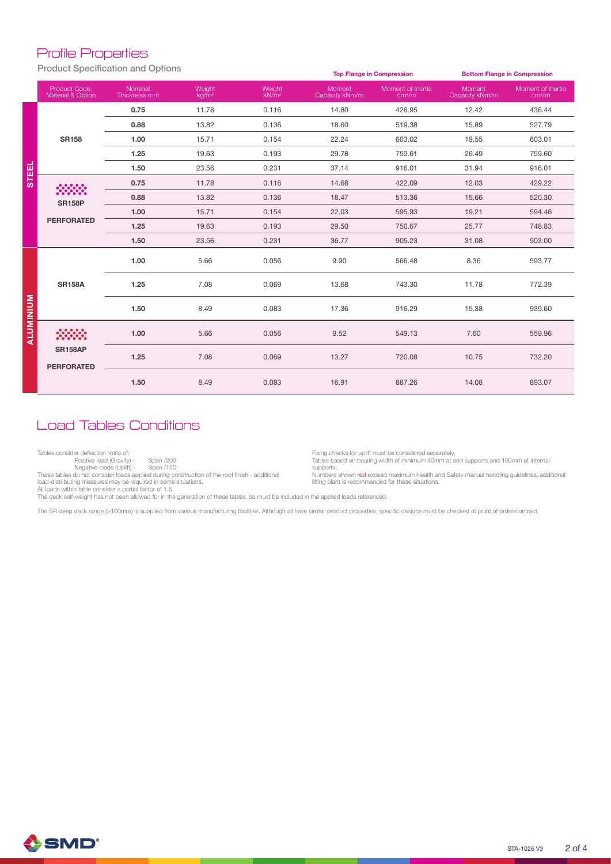#### Profile Properties

Product Specification and Options

|                  |                                     |                         |                    |                             |                          | <b>Top Flange in Compression</b>        | <b>Bottom Flange in Compression</b> |                                         |  |  |  |
|------------------|-------------------------------------|-------------------------|--------------------|-----------------------------|--------------------------|-----------------------------------------|-------------------------------------|-----------------------------------------|--|--|--|
|                  | Product Code.<br>Material & Option  | Nominal<br>Thickness mm | Weight<br>$kq/m^2$ | Weight<br>kN/m <sup>2</sup> | Moment<br>Capacity kNm/m | Moment of Inertia<br>cm <sup>4</sup> /m | Moment<br>Capacity kNm/m            | Moment of Inertia<br>cm <sup>4</sup> /m |  |  |  |
|                  |                                     | 0.75                    | 11.78              | 0.116                       | 14.80                    | 426.95                                  | 12.42                               | 436.44                                  |  |  |  |
|                  |                                     | 0.88                    | 13.82              | 0.136                       | 18.60                    | 519.38                                  | 15.89                               | 527.79                                  |  |  |  |
|                  | <b>SR158</b>                        | 1.00                    | 15.71              | 0.154                       | 22.24                    | 603.02                                  | 19.55                               | 603.01                                  |  |  |  |
|                  |                                     | 1.25                    | 19.63              | 0.193                       | 29.78                    | 759.61                                  | 26.49                               | 759.60                                  |  |  |  |
| <b>STEEL</b>     |                                     | 1.50                    | 23.56              | 0.231                       | 37.14                    | 916.01                                  | 31.94                               | 916.01                                  |  |  |  |
|                  |                                     | 0.75                    | 11.78              | 0.116                       | 14.68                    | 422.09                                  | 12.03                               | 429.22                                  |  |  |  |
|                  | <b>SR158P</b>                       | 0.88                    | 13.82              | 0.136                       | 18.47                    | 513.36                                  | 15.66                               | 520.30                                  |  |  |  |
|                  |                                     | 1.00                    | 15.71              | 0.154                       | 22.03                    | 595.93                                  | 19.21                               | 594.46                                  |  |  |  |
|                  | <b>PERFORATED</b>                   | 1.25                    | 19.63              | 0.193                       | 29.50                    | 750.67                                  | 25.77                               | 748.83                                  |  |  |  |
|                  |                                     | 1.50                    | 23.56              | 0.231                       | 36.77                    | 905.23                                  | 31.08                               | 903.00                                  |  |  |  |
|                  |                                     | 1.00                    | 5.66               | 0.056                       | 9.90                     | 566.48                                  | 8.36                                | 593.77                                  |  |  |  |
|                  | <b>SR158A</b>                       | 1.25                    | 7.08               | 0.069                       | 13.68                    | 743.30                                  | 11.78                               | 772.39                                  |  |  |  |
| <b>ALUMINIUM</b> |                                     | 1.50                    | 8.49               | 0.083                       | 17.36                    | 916.29                                  | 15.38                               | 939.60                                  |  |  |  |
|                  |                                     | 1.00                    | 5.66               | 0.056                       | 9.52                     | 549.13                                  | 7.60                                | 559.96                                  |  |  |  |
|                  | <b>SR158AP</b><br><b>PERFORATED</b> | 1.25                    | 7.08               | 0.069                       | 13.27                    | 720.08                                  | 10.75                               | 732.20                                  |  |  |  |
|                  |                                     | 1.50                    | 8.49               | 0.083                       | 16.91                    | 887.26                                  | 14.08                               | 893.07                                  |  |  |  |

# Load Tables Conditions

Tables consider deflection limits of:

Positive load (Gravity) - Span /200

Negative loads (Uplift) - Span /150<br>These tables do not consider loads applied during construction of the roof finish - additional<br>load-distributing measures may be required in some situations.

Fixing checks for uplift must be considered separately. Tables based on bearing width of minimum 40mm at end supports and 160mm at internal supports.

Numbers shown red exceed maximum Health and Safety manual handling guidelines, additional lifting plant is recommended for these situations.

All loads within table consider a partial factor of 1.5.

The deck self-weight has not been allowed for in the generation of these tables, so must be included in the applied loads referenced.

The SR deep deck range (>100mm) is supplied from various manufacturing facilities. Although all have similar product properties, specific designs must be checked at point of order/contract.

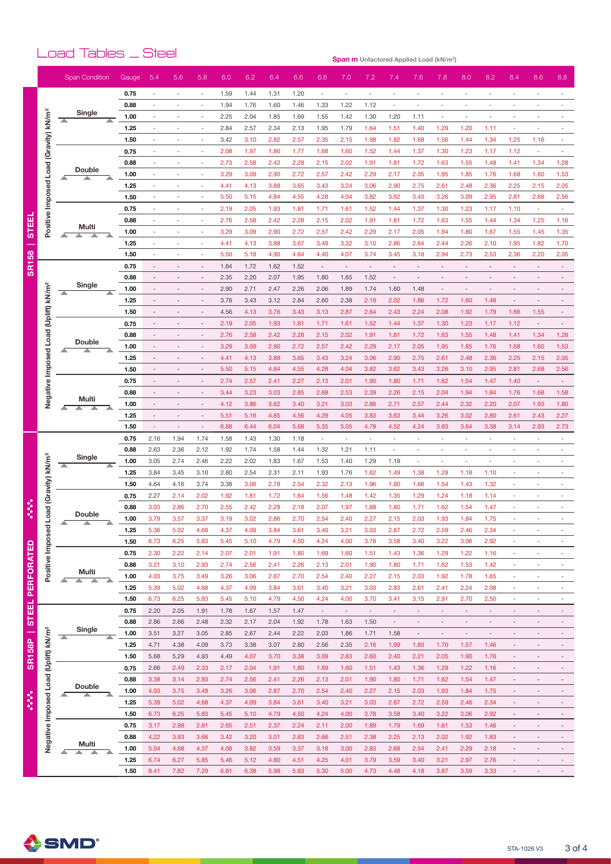# Load Tables \_ Steel

**Span m Unfactored Applied Load (kN/m 2 )**

|                        |                                                  | <b>Span Condition</b> |        | Gauge | 5.4  | 5.6                      | 5.8                      | 6.0          | 6.2  | 6.4          | 6.6          | 6.8                      | 7.0                      | 7.2                      | 7.4                      | 7.6                      | 7.8                      | 8.0                      | 8.2                      | 8.4                                                  | 8.6                                        | 8.8                                                  |
|------------------------|--------------------------------------------------|-----------------------|--------|-------|------|--------------------------|--------------------------|--------------|------|--------------|--------------|--------------------------|--------------------------|--------------------------|--------------------------|--------------------------|--------------------------|--------------------------|--------------------------|------------------------------------------------------|--------------------------------------------|------------------------------------------------------|
|                        |                                                  |                       |        |       |      |                          |                          |              |      |              |              |                          |                          |                          |                          |                          |                          |                          |                          |                                                      |                                            |                                                      |
|                        |                                                  |                       |        | 0.75  | ä,   | $\sim$                   | ٠                        | 1.59         | 1.44 | 1.31         | 1.20         | $\overline{\phantom{a}}$ | $\sim$                   | ä,                       | ä,                       | $\sim$                   | $\sim$                   |                          |                          | $\sim$                                               |                                            |                                                      |
|                        |                                                  | Single                |        | 0.88  |      |                          |                          | 1.94         | 1.76 | 1.60         | 1.46         | 1.33                     | 1.22                     | 1.12                     | $\sim$                   |                          |                          |                          |                          |                                                      |                                            |                                                      |
|                        | (Gravity) kN/m <sup>2</sup>                      | ▴                     |        | 1.00  |      |                          | ٠                        | 2.25         | 2.04 | 1.85         | 1.69         | 1.55                     | 1.42                     | 1.30                     | 1.20                     | 1.11                     | ٠                        |                          |                          |                                                      |                                            |                                                      |
|                        |                                                  |                       |        | 1.25  |      | ÷,                       |                          | 2.84         | 2.57 | 2.34         | 2.13         | 1.95                     | 1.79                     | 1.64                     | 1.51                     | 1.40                     | 1.29                     | 1.20                     | 1.11                     | ÷,                                                   |                                            |                                                      |
|                        |                                                  |                       |        | 1.50  |      |                          |                          | 3.42         | 3.10 | 2.82         | 2.57         | 2.35                     | 2.15                     | 1.98                     | 1.82                     | 1.68                     | 1.56                     | 1.44                     | 1.34                     | 1.25                                                 | 1.16                                       |                                                      |
|                        |                                                  |                       |        | 0.75  |      | ÷,                       |                          | 2.08         | 1.97 | 1.86         | 1.77         | 1.68                     | 1.60                     | 1.52                     | 1.44                     | 1.37                     | 1.30                     | 1.23                     | 1.17                     | 1.12                                                 | ÷,                                         |                                                      |
|                        |                                                  | <b>Double</b>         |        | 0.88  |      | $\overline{\phantom{m}}$ |                          | 2.73         | 2.58 | 2.42         | 2.28         | 2.15                     | 2.02                     | 1.91                     | 1.81                     | 1.72                     | 1.63                     | 1.55                     | 1.48                     | 1.41                                                 | 1.34                                       | 1.28                                                 |
|                        |                                                  |                       |        | 1.00  |      | ٠                        |                          | 3.29         | 3.09 | 2.90         | 2.72         | 2.57                     | 2.42                     | 2.29                     | 2.17                     | 2.05                     | 1.95                     | 1.85                     | 1.76                     | 1.68                                                 | 1.60                                       | 1.53                                                 |
|                        |                                                  |                       |        | 1.25  |      | ÷,                       |                          | 4.41         | 4.13 | 3.88         | 3.65         | 3.43                     | 3.24                     | 3.06                     | 2.90                     | 2.75                     | 2.61                     | 2.48                     | 2.36                     | 2.25                                                 | 2.15                                       | 2.05                                                 |
|                        | Positive Imposed Load                            |                       |        | 1.50  | ٠    | ٠                        | $\overline{\phantom{a}}$ | 5.50         | 5.15 | 4.84         | 4.55         | 4.28                     | 4.04                     | 3.82                     | 3.62                     | 3.43                     | 3.26                     | 3.09                     | 2.95                     | 2.81                                                 | 2.68                                       | 2.56                                                 |
|                        |                                                  |                       |        | 0.75  |      | ٠                        | $\overline{\phantom{a}}$ | 2.19         | 2.05 | 1.93         | 1.81         | 1.71                     | 1.61                     | 1.52                     | 1.44                     | 1.37                     | 1.30                     | 1.23                     | 1.17                     | 1.10                                                 | $\overline{\phantom{a}}$                   |                                                      |
| 面                      |                                                  | Multi                 |        | 0.88  |      |                          |                          | 2.76         | 2.58 | 2.42         | 2.28         | 2.15                     | 2.02                     | 1.91                     | 1.81                     | 1.72                     | 1.63                     | 1.55                     | 1.44                     | 1.34                                                 | 1.25                                       | 1.16                                                 |
| Ò٥                     |                                                  |                       |        | 1.00  |      |                          |                          | 3.29         | 3.09 | 2.90         | 2.72         | 2.57                     | 2.42                     | 2.29                     | 2.17                     | 2.05                     | 1.94                     | 1.80                     | 1.67                     | 1.55                                                 | 1.45                                       | 1.35                                                 |
|                        |                                                  |                       |        | 1.25  |      | ÷,                       |                          | 4.41         | 4.13 | 3.88         | 3.67         | 3.49                     | 3.32                     | 3.10                     | 2.86                     | 2.64                     | 2.44                     | 2.26                     | 2.10                     | 1.95                                                 | 1.82                                       | 1.70                                                 |
| 58                     |                                                  |                       |        | 1.50  |      |                          |                          | 5.50         | 5.18 | 4.90         | 4.64         | 4.40                     | 4.07                     | 3.74                     | 3.45                     | 3.18                     | 2.94                     | 2.73                     | 2.53                     | 2.36                                                 | 2.20                                       | 2.05                                                 |
| $\overline{\text{SB}}$ |                                                  |                       |        | 0.75  |      | $\overline{\phantom{a}}$ |                          | 1.84         | 1.72 | 1.62         | 1.52         | $\sim$                   | $\sim$                   |                          |                          |                          |                          |                          |                          | $\overline{\phantom{a}}$                             |                                            |                                                      |
|                        |                                                  | Single                |        | 0.88  |      |                          |                          | 2.35         | 2.20 | 2.07         | 1.95         | 1.80                     | 1.65                     | 1.52                     | $\overline{\phantom{a}}$ | $\overline{\phantom{a}}$ |                          |                          |                          |                                                      |                                            |                                                      |
|                        |                                                  | ᄌ                     |        | 1.00  |      |                          |                          | 2.90         | 2.71 | 2.47         | 2.26         | 2.06                     | 1.89                     | 1.74                     | 1.60                     | 1.48                     |                          |                          |                          |                                                      |                                            |                                                      |
|                        |                                                  |                       |        | 1.25  |      |                          |                          | 3.78         | 3.43 | 3.12         | 2.84         | 2.60                     | 2.38                     | 2.19                     | 2.02                     | 1.86                     | 1.72                     | 1.60                     | 1.48                     | $\overline{\phantom{a}}$                             |                                            |                                                      |
|                        |                                                  |                       |        | 1.50  |      |                          |                          | 4.56         | 4.13 | 3.76         | 3.43         | 3.13                     | 2.87                     | 2.64                     | 2.43                     | 2.24                     | 2.08                     | 1.92                     | 1.79                     | 1.66                                                 | 1.55                                       |                                                      |
|                        |                                                  |                       |        | 0.75  |      |                          |                          | 2.19         | 2.05 | 1.93         | 1.81         | 1.71                     | 1.61                     | 1.52                     | 1.44                     | 1.37                     | 1.30                     | 1.23                     | 1.17                     | 1.12                                                 | $\overline{\phantom{a}}$                   |                                                      |
|                        | Load (Uplift) kN/m <sup>2</sup>                  | <b>Double</b>         |        | 0.88  |      |                          |                          | 2.76         | 2.58 | 2.42         | 2.28         | 2.15                     | 2.02                     | 1.91                     | 1.81                     | 1.72                     | 1.63                     | 1.55                     | 1.48                     | 1.41                                                 | 1.34                                       | 1.28                                                 |
|                        |                                                  |                       |        | 1.00  |      |                          |                          | 3.29         | 3.09 | 2.90         | 2.72         | 2.57                     | 2.42                     | 2.29                     | 2.17                     | 2.05                     | 1.95                     | 1.85                     | 1.76                     | 1.68                                                 | 1.60                                       | 1.53                                                 |
|                        |                                                  |                       |        | 1.25  |      |                          |                          | 4.41         | 4.13 | 3.88         | 3.65         | 3.43                     | 3.24                     | 3.06                     | 2.90                     | 2.75                     | 2.61                     | 2.48                     | 2.36                     | 2.25                                                 | 2.15                                       | 2.05                                                 |
|                        |                                                  |                       |        | 1.50  |      |                          |                          | 5.50         | 5.15 | 4.84         | 4.55         | 4.28                     | 4.04                     | 3.82                     | 3.62                     | 3.43                     | 3.26                     | 3.10                     | 2.95                     | 2.81                                                 | 2.68                                       | 2.56                                                 |
|                        |                                                  |                       |        | 0.75  |      |                          |                          | 2.74         | 2.57 | 2.41         | 2.27         | 2.13                     | 2.01                     | 1.90                     | 1.80                     | 1.71                     | 1.62                     | 1.54                     | 1.47                     | 1.40                                                 | $\overline{\phantom{a}}$                   |                                                      |
|                        | Negative Imposed                                 | Multi                 |        | 0.88  |      |                          |                          | 3.44         | 3.23 | 3.03         | 2.85         | 2.68                     | 2.53                     | 2.39                     | 2.26                     | 2.15                     | 2.04                     | 1.94                     | 1.84                     | 1.76                                                 | 1.68                                       | 1.58                                                 |
|                        |                                                  | ∸                     |        | 1.00  |      |                          |                          | 4.12         | 3.86 | 3.62         | 3.40         | 3.21                     | 3.03                     | 2.86                     | 2.71                     | 2.57                     | 2.44                     | 2.32                     | 2.20                     | 2.07                                                 | 1.93                                       | 1.80                                                 |
|                        |                                                  |                       |        | 1.25  |      |                          |                          | 5.51         | 5.16 | 4.85         | 4.56         | 4.29                     | 4.05                     | 3.83                     | 3.63                     | 3.44                     | 3.26                     | 3.02                     | 2.80                     | 2.61                                                 | 2.43                                       | 2.27                                                 |
|                        |                                                  |                       |        | 1.50  | ÷,   | ÷,                       | $\bar{a}$                | 6.88         | 6.44 | 6.04         | 5.68         | 5.35                     | 5.05                     | 4.78                     | 4.52                     | 4.24                     | 3.93                     | 3.64                     | 3.38                     | 3.14                                                 | 2.93                                       | 2.73                                                 |
|                        | Load (Gravity) kN/m <sup>2</sup>                 |                       |        | 0.75  | 2.16 | 1.94                     | 1.74                     | 1.58         | 1.43 | 1.30         | 1.18         | ÷,                       | $\sim$                   |                          | $\sim$                   | ٠                        | $\sim$                   |                          |                          | $\sim$                                               |                                            | $\sim$                                               |
|                        |                                                  | Single                |        | 0.88  | 2.63 | 2.36                     | 2.12                     | 1.92         | 1.74 | 1.58         | 1.44         | 1.32                     | 1.21                     | 1.11                     | $\sim$                   | $\sim$                   | $\sim$                   |                          | ٠                        | $\sim$                                               | ٠                                          | $\overline{\phantom{a}}$                             |
|                        |                                                  |                       |        | 1.00  | 3.05 | 2.74                     | 2.46                     | 2.22         | 2.02 | 1.83         | 1.67         | 1.53                     | 1.40                     | 1.29                     | 1.19                     | $\overline{\phantom{a}}$ | $\overline{\phantom{a}}$ | $\overline{\phantom{a}}$ |                          | $\overline{\phantom{a}}$                             |                                            |                                                      |
|                        |                                                  |                       |        | 1.25  | 3.84 | 3.45                     | 3.10                     | 2.80         | 2.54 | 2.31         | 2.11         | 1.93                     | 1.76                     | 1.62                     | 1.49                     | 1.38                     | 1.28                     | 1.18                     | 1.10                     |                                                      |                                            |                                                      |
|                        |                                                  |                       |        | 1.50  | 4.64 | 4.16                     | 3.74                     | 3.38         | 3.06 | 2.78         | 2.54         | 2.32                     | 2.13                     | 1.96                     | 1.80                     | 1.66                     | 1.54                     | 1.43                     | 1.32                     | ÷,                                                   |                                            |                                                      |
|                        |                                                  |                       |        | 0.75  | 2.27 | 2.14                     | 2.02                     | 1.92         | 1.81 | 1.72         | 1.64         | 1.56                     | 1.48                     | 1.42                     | 1.35                     | 1.29                     | 1.24                     | 1.18                     | 1.14                     | ٠                                                    |                                            |                                                      |
|                        |                                                  | <b>Double</b>         |        | 0.88  | 3.03 | 2.86                     | 2.70                     | 2.55         | 2.42 | 2.29         | 2.18         | 2.07                     | 1.97                     | 1.88                     | 1.80                     | 1.71                     | 1.62                     | 1.54                     | 1.47                     | ÷,                                                   |                                            |                                                      |
|                        |                                                  |                       |        | 1.00  | 3.79 | 3.57                     | 3.37                     | 3.19         | 3.02 | 2.86         | 2.70         | 2.54                     | 2.40                     | 2.27                     | 2.15                     | 2.03                     | 1.93                     | 1.84                     | 1.75                     |                                                      |                                            |                                                      |
|                        | Positive Imposed                                 |                       |        | 1.25  | 5.36 | 5.02                     | 4.68                     | 4.37         | 4.09 | 3.84         | 3.61         | 3.40                     | 3.21                     | 3.03                     | 2.87                     | 2.72                     | 2.59                     | 2.46                     | 2.34                     |                                                      |                                            |                                                      |
|                        |                                                  |                       |        | 1.50  | 6.73 | 6.25                     | 5.83                     | 5.45         | 5.10 | 4.79         | 4.50         | 4.24                     | 4.00                     | 3.78                     | 3.58                     | 3.40                     | 3.22                     | 3.06                     | 2.92                     | $\overline{\phantom{a}}$                             | $\overline{\phantom{a}}$                   | $\overline{\phantom{a}}$                             |
|                        |                                                  |                       |        | 0.75  | 2.30 | 2.22                     | 2.14                     | 2.07         | 2.01 | 1.91         | 1.80         | 1.69                     | 1.60                     | 1.51                     | 1.43                     | 1.36                     | 1.29                     | 1.22                     | 1.16                     | $\bar{a}$                                            | ÷,                                         | $\overline{\phantom{a}}$                             |
|                        |                                                  | Multi                 |        | 0.88  | 3.21 | 3.10                     | 2.93                     | 2.74         | 2.56 | 2.41         | 2.26         | 2.13                     | 2.01                     | 1.90                     | 1.80                     | 1.71                     | 1.62                     | 1.53                     | 1.42                     | $\overline{\phantom{a}}$                             | ٠                                          | $\overline{\phantom{a}}$                             |
| <b>PERFORATED</b>      |                                                  | ┻<br>▴                | ▲<br>▵ | 1.00  | 4.03 | 3.75                     | 3.49                     | 3.26         | 3.06 | 2.87         | 2.70         | 2.54                     | 2.40                     | 2.27                     | 2.15                     | 2.03                     | 1.92                     | 1.78                     | 1.65                     | $\bar{a}$                                            | ÷,                                         | L,                                                   |
|                        |                                                  |                       |        | 1.25  | 5.39 | 5.02                     | 4.68                     | 4.37         | 4.09 | 3.84         | 3.61         | 3.40                     | 3.21                     | 3.03                     | 2.83                     | 2.61                     | 2.41                     | 2.24                     | 2.08                     | $\overline{\phantom{a}}$                             | ÷,                                         | $\overline{\phantom{a}}$                             |
|                        |                                                  |                       |        | 1.50  | 6.73 | 6.25                     | 5.83                     | 5.45         | 5.10 | 4.79         | 4.50         | 4.24                     | 4.00                     | 3.70                     | 3.41                     | 3.15                     | 2.91                     | 2.70                     | 2.50                     | $\overline{\phantom{a}}$                             | ÷,                                         | $\overline{\phantom{a}}$                             |
| <b>STEEL</b>           |                                                  |                       |        | 0.75  | 2.20 | 2.05                     | 1.91                     | 1.78         | 1.67 | 1.57         | 1.47         | $\overline{\phantom{a}}$ | $\overline{\phantom{a}}$ | $\overline{\phantom{a}}$ | $\overline{\phantom{a}}$ | $\overline{\phantom{a}}$ | $\overline{\phantom{a}}$ | $\overline{\phantom{a}}$ | $\overline{\phantom{a}}$ | $\overline{\phantom{a}}$                             | $\overline{a}$                             | $\overline{\phantom{a}}$                             |
|                        |                                                  | Single                |        | 0.88  | 2.86 | 2.66                     | 2.48                     | 2.32         | 2.17 | 2.04         | 1.92         | 1.78                     | 1.63                     | 1.50                     | $\overline{\phantom{a}}$ | $\overline{\phantom{a}}$ | $\overline{\phantom{a}}$ | $\overline{\phantom{a}}$ | $\overline{\phantom{a}}$ | $\sim$                                               | $\overline{\phantom{a}}$                   | $\overline{\phantom{a}}$                             |
|                        |                                                  | ▲                     | ▲      | 1.00  | 3.51 | 3.27                     | 3.05                     | 2.85         | 2.67 | 2.44         | 2.22         | 2.03                     | 1.86                     | 1.71                     | 1.58                     | $\overline{\phantom{a}}$ | $\overline{\phantom{a}}$ | $\overline{\phantom{a}}$ | $\overline{\phantom{a}}$ | $\overline{\phantom{a}}$                             | $\overline{a}$                             | $\overline{\phantom{a}}$                             |
| <b>SR158P</b>          |                                                  |                       |        | 1.25  | 4.71 | 4.38                     | 4.09                     | 3.73         | 3.38 | 3.07         | 2.80         | 2.56                     | 2.35                     | 2.16                     | 1.99                     | 1.83                     | 1.70                     | 1.57                     | 1.46                     | $\overline{\phantom{a}}$                             | ÷                                          | $\overline{\phantom{a}}$                             |
|                        |                                                  |                       |        | 1.50  | 5.68 | 5.29                     | 4.93                     | 4.49         | 4.07 | 3.70         | 3.38         | 3.09                     | 2.83                     | 2.60                     | 2.40                     | 2.21                     | 2.05                     | 1.90                     | 1.76                     | $\overline{\phantom{a}}$                             | $\overline{\phantom{a}}$                   | $\qquad \qquad \blacksquare$                         |
|                        | Negative Imposed Load (Uplift) kN/m <sup>2</sup> |                       |        | 0.75  | 2.66 | 2.49                     | 2.33                     | 2.17         | 2.04 | 1.91         | 1.80         | 1.69                     | 1.60                     | 1.51                     | 1.43                     | 1.36                     | 1.29                     | 1.22                     | 1.16                     | $\overline{\phantom{a}}$                             | $\overline{\phantom{a}}$                   | $\equiv$                                             |
|                        |                                                  | Double                |        | 0.88  | 3.38 | 3.14                     | 2.93                     | 2.74         | 2.56 | 2.41         | 2.26         | 2.13                     | 2.01                     | 1.90                     | 1.80                     | 1.71                     | 1.62                     | 1.54                     | 1.47                     | $\overline{\phantom{a}}$                             |                                            | $\overline{\phantom{0}}$                             |
|                        |                                                  |                       |        | 1.00  | 4.03 | 3.75                     | 3.49                     | 3.26         | 3.06 | 2.87         | 2.70         | 2.54                     | 2.40                     | 2.27                     | 2.15                     | 2.03                     | 1.93                     | 1.84                     | 1.75                     | $\overline{\phantom{a}}$                             | ÷                                          | $\overline{\phantom{a}}$                             |
|                        |                                                  |                       |        | 1.25  | 5.39 | 5.02                     | 4.68                     | 4.37         | 4.09 | 3.84         | 3.61         | 3.40                     | 3.21                     | 3.03                     | 2.87                     | 2.72                     | 2.59                     | 2.46                     | 2.34                     | $\qquad \qquad \blacksquare$                         | L,                                         | $\overline{\phantom{a}}$                             |
|                        |                                                  |                       |        | 1.50  | 6.73 | 6.25                     | 5.83                     | 5.45         | 5.10 | 4.79         | 4.50         | 4.24                     | 4.00                     | 3.78                     | 3.58                     | 3.40                     | 3.22                     | 3.06                     | 2.92                     | $\overline{\phantom{a}}$                             | $\overline{\phantom{m}}$                   | $\overline{\phantom{a}}$                             |
|                        |                                                  |                       |        | 0.75  | 3.17 | 2.98                     | 2.81                     | 2.65         | 2.51 | 2.37         | 2.24         | 2.11                     | 2.00                     | 1.89                     | 1.79                     | 1.69                     | 1.61                     | 1.53                     | 1.46                     | $\overline{\phantom{a}}$<br>$\overline{\phantom{a}}$ |                                            | $\overline{\phantom{a}}$                             |
|                        |                                                  | Multi                 |        | 0.88  | 4.22 | 3.93                     | 3.66                     | 3.42         | 3.20 | 3.01         | 2.83         | 2.66                     | 2.51                     | 2.38                     | 2.25                     | 2.13                     | 2.02                     | 1.92                     | 1.83                     |                                                      |                                            | $\overline{\phantom{a}}$                             |
|                        |                                                  | ▲<br>▲                | >      | 1.00  | 5.04 | 4.68                     | 4.37                     | 4.08         | 3.82 | 3.59         | 3.37         | 3.18                     | 3.00                     | 2.83                     | 2.68                     | 2.54                     | 2.41                     | 2.29                     | 2.18                     | $\overline{\phantom{a}}$                             | $\overline{\phantom{a}}$                   | $\overline{\phantom{a}}$                             |
|                        |                                                  |                       |        | 1.25  | 6.74 | 6.27                     | 5.85                     | 5.46<br>6.81 | 5.12 | 4.80<br>5.98 | 4.51<br>5.63 | 4.25                     | 4.01<br>5.00             | 3.79<br>4.73             | 3.59<br>4.48             | 3.40<br>4.18             | 3.21                     | 2.97                     | 2.76<br>3.33             | $\overline{\phantom{a}}$<br>$\overline{\phantom{a}}$ | $\overline{a}$<br>$\overline{\phantom{m}}$ | $\overline{\phantom{a}}$<br>$\overline{\phantom{a}}$ |
|                        |                                                  |                       |        | 1.50  | 8.41 | 7.82                     | 7.29                     |              | 6.38 |              |              | 5.30                     |                          |                          |                          |                          | 3.87                     | 3.59                     |                          |                                                      |                                            |                                                      |